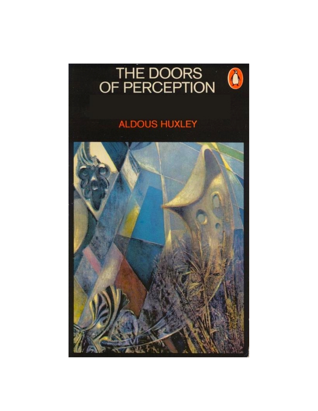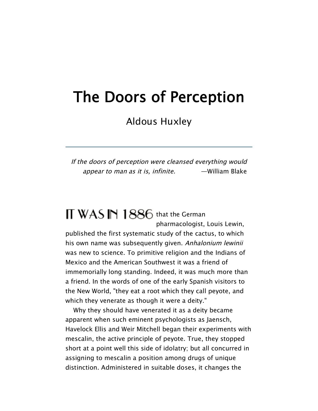## The Doors of Perception

Aldous Huxley

If the doors of perception were cleansed everything would appear to man as it is, infinite.  $\blacksquare$  William Blake

 $\Pi$  WAS  $\mathbb N$  1886 that the German pharmacologist, Louis Lewin, published the first systematic study of the cactus, to which his own name was subsequently given. Anhalonium lewinii was new to science. To primitive religion and the Indians of Mexico and the American Southwest it was a friend of immemorially long standing. Indeed, it was much more than a friend. In the words of one of the early Spanish visitors to the New World, "they eat a root which they call peyote, and which they venerate as though it were a deity."

 Why they should have venerated it as a deity became apparent when such eminent psychologists as Jaensch, Havelock Ellis and Weir Mitchell began their experiments with mescalin, the active principle of peyote. True, they stopped short at a point well this side of idolatry; but all concurred in assigning to mescalin a position among drugs of unique distinction. Administered in suitable doses, it changes the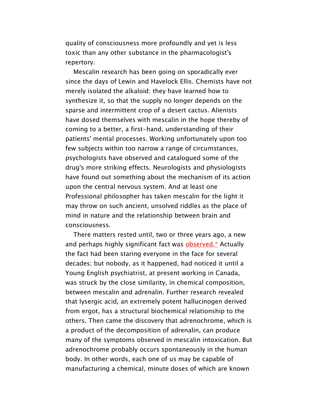quality of consciousness more profoundly and yet is less toxic than any other substance in the pharmacologist's repertory.

 Mescalin research has been going on sporadically ever since the days of Lewin and Havelock Ellis. Chemists have not merely isolated the alkaloid; they have learned how to synthesize it, so that the supply no longer depends on the sparse and intermittent crop of a desert cactus. Alienists have dosed themselves with mescalin in the hope thereby of coming to a better, a first-hand, understanding of their patients' mental processes. Working unfortunately upon too few subjects within too narrow a range of circumstances, psychologists have observed and catalogued some of the drug's more striking effects. Neurologists and physiologists have found out something about the mechanism of its action upon the central nervous system. And at least one Professional philosopher has taken mescalin for the light it may throw on such ancient, unsolved riddles as the place of mind in nature and the relationship between brain and consciousness.

<span id="page-2-0"></span> There matters rested until, two or three years ago, a new and perhaps highly significant fact was **observed.**\* Actually the fact had been staring everyone in the face for several decades; but nobody, as it happened, had noticed it until a Young English psychiatrist, at present working in Canada, was struck by the close similarity, in chemical composition, between mescalin and adrenalin. Further research revealed that lysergic acid, an extremely potent hallucinogen derived from ergot, has a structural biochemical relationship to the others. Then came the discovery that adrenochrome, which is a product of the decomposition of adrenalin, can produce many of the symptoms observed in mescalin intoxication. But adrenochrome probably occurs spontaneously in the human body. In other words, each one of us may be capable of manufacturing a chemical, minute doses of which are known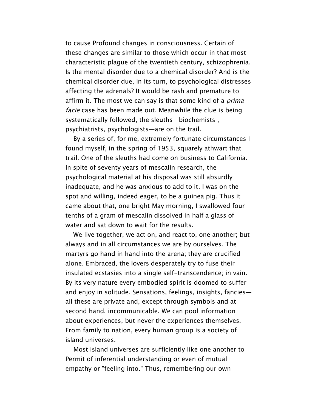to cause Profound changes in consciousness. Certain of these changes are similar to those which occur in that most characteristic plague of the twentieth century, schizophrenia. Is the mental disorder due to a chemical disorder? And is the chemical disorder due, in its turn, to psychological distresses affecting the adrenals? It would be rash and premature to affirm it. The most we can say is that some kind of a *prima* facie case has been made out. Meanwhile the clue is being systematically followed, the sleuths—biochemists , psychiatrists, psychologists—are on the trail.

 By a series of, for me, extremely fortunate circumstances I found myself, in the spring of 1953, squarely athwart that trail. One of the sleuths had come on business to California. In spite of seventy years of mescalin research, the psychological material at his disposal was still absurdly inadequate, and he was anxious to add to it. I was on the spot and willing, indeed eager, to be a guinea pig. Thus it came about that, one bright May morning, I swallowed fourtenths of a gram of mescalin dissolved in half a glass of water and sat down to wait for the results.

 We live together, we act on, and react to, one another; but always and in all circumstances we are by ourselves. The martyrs go hand in hand into the arena; they are crucified alone. Embraced, the lovers desperately try to fuse their insulated ecstasies into a single self-transcendence; in vain. By its very nature every embodied spirit is doomed to suffer and enjoy in solitude. Sensations, feelings, insights, fancies all these are private and, except through symbols and at second hand, incommunicable. We can pool information about experiences, but never the experiences themselves. From family to nation, every human group is a society of island universes.

 Most island universes are sufficiently like one another to Permit of inferential understanding or even of mutual empathy or "feeling into." Thus, remembering our own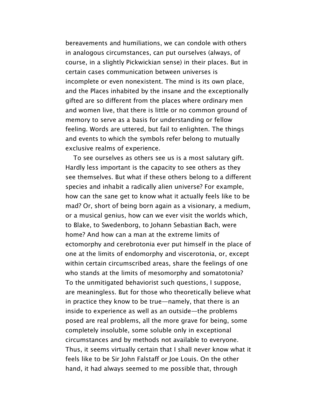bereavements and humiliations, we can condole with others in analogous circumstances, can put ourselves (always, of course, in a slightly Pickwickian sense) in their places. But in certain cases communication between universes is incomplete or even nonexistent. The mind is its own place, and the Places inhabited by the insane and the exceptionally gifted are so different from the places where ordinary men and women live, that there is little or no common ground of memory to serve as a basis for understanding or fellow feeling. Words are uttered, but fail to enlighten. The things and events to which the symbols refer belong to mutually exclusive realms of experience.

 To see ourselves as others see us is a most salutary gift. Hardly less important is the capacity to see others as they see themselves. But what if these others belong to a different species and inhabit a radically alien universe? For example, how can the sane get to know what it actually feels like to be mad? Or, short of being born again as a visionary, a medium, or a musical genius, how can we ever visit the worlds which, to Blake, to Swedenborg, to Johann Sebastian Bach, were home? And how can a man at the extreme limits of ectomorphy and cerebrotonia ever put himself in the place of one at the limits of endomorphy and viscerotonia, or, except within certain circumscribed areas, share the feelings of one who stands at the limits of mesomorphy and somatotonia? To the unmitigated behaviorist such questions, I suppose, are meaningless. But for those who theoretically believe what in practice they know to be true—namely, that there is an inside to experience as well as an outside—the problems posed are real problems, all the more grave for being, some completely insoluble, some soluble only in exceptional circumstances and by methods not available to everyone. Thus, it seems virtually certain that I shall never know what it feels like to be Sir John Falstaff or Joe Louis. On the other hand, it had always seemed to me possible that, through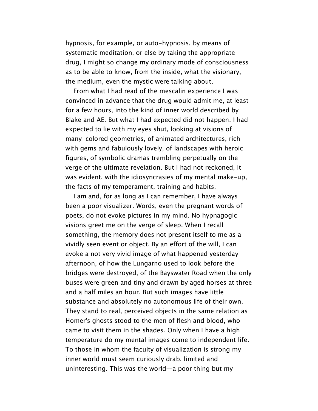hypnosis, for example, or auto-hypnosis, by means of systematic meditation, or else by taking the appropriate drug, I might so change my ordinary mode of consciousness as to be able to know, from the inside, what the visionary, the medium, even the mystic were talking about.

 From what I had read of the mescalin experience I was convinced in advance that the drug would admit me, at least for a few hours, into the kind of inner world described by Blake and AE. But what I had expected did not happen. I had expected to lie with my eyes shut, looking at visions of many-colored geometries, of animated architectures, rich with gems and fabulously lovely, of landscapes with heroic figures, of symbolic dramas trembling perpetually on the verge of the ultimate revelation. But I had not reckoned, it was evident, with the idiosyncrasies of my mental make-up, the facts of my temperament, training and habits.

 I am and, for as long as I can remember, I have always been a poor visualizer. Words, even the pregnant words of poets, do not evoke pictures in my mind. No hypnagogic visions greet me on the verge of sleep. When I recall something, the memory does not present itself to me as a vividly seen event or object. By an effort of the will, I can evoke a not very vivid image of what happened yesterday afternoon, of how the Lungarno used to look before the bridges were destroyed, of the Bayswater Road when the only buses were green and tiny and drawn by aged horses at three and a half miles an hour. But such images have little substance and absolutely no autonomous life of their own. They stand to real, perceived objects in the same relation as Homer's ghosts stood to the men of flesh and blood, who came to visit them in the shades. Only when I have a high temperature do my mental images come to independent life. To those in whom the faculty of visualization is strong my inner world must seem curiously drab, limited and uninteresting. This was the world—a poor thing but my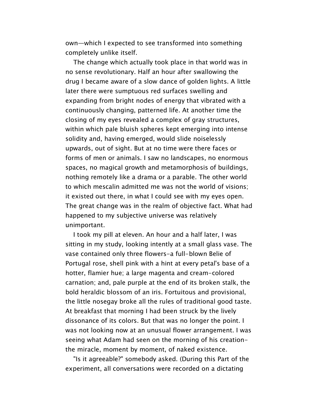own—which I expected to see transformed into something completely unlike itself.

 The change which actually took place in that world was in no sense revolutionary. Half an hour after swallowing the drug I became aware of a slow dance of golden lights. A little later there were sumptuous red surfaces swelling and expanding from bright nodes of energy that vibrated with a continuously changing, patterned life. At another time the closing of my eyes revealed a complex of gray structures, within which pale bluish spheres kept emerging into intense solidity and, having emerged, would slide noiselessly upwards, out of sight. But at no time were there faces or forms of men or animals. I saw no landscapes, no enormous spaces, no magical growth and metamorphosis of buildings, nothing remotely like a drama or a parable. The other world to which mescalin admitted me was not the world of visions; it existed out there, in what I could see with my eyes open. The great change was in the realm of objective fact. What had happened to my subjective universe was relatively unimportant.

 I took my pill at eleven. An hour and a half later, I was sitting in my study, looking intently at a small glass vase. The vase contained only three flowers-a full-blown Belie of Portugal rose, shell pink with a hint at every petal's base of a hotter, flamier hue; a large magenta and cream-colored carnation; and, pale purple at the end of its broken stalk, the bold heraldic blossom of an iris. Fortuitous and provisional, the little nosegay broke all the rules of traditional good taste. At breakfast that morning I had been struck by the lively dissonance of its colors. But that was no longer the point. I was not looking now at an unusual flower arrangement. I was seeing what Adam had seen on the morning of his creationthe miracle, moment by moment, of naked existence.

 "Is it agreeable?" somebody asked. (During this Part of the experiment, all conversations were recorded on a dictating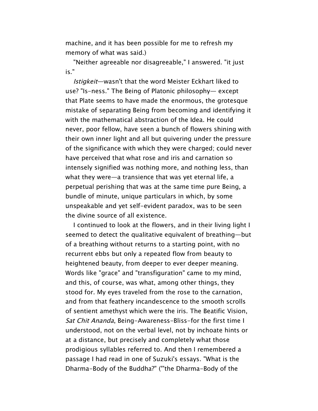machine, and it has been possible for me to refresh my memory of what was said.)

 "Neither agreeable nor disagreeable," I answered. "it just is."

Istigkeit—wasn't that the word Meister Eckhart liked to use? "Is-ness." The Being of Platonic philosophy— except that Plate seems to have made the enormous, the grotesque mistake of separating Being from becoming and identifying it with the mathematical abstraction of the Idea. He could never, poor fellow, have seen a bunch of flowers shining with their own inner light and all but quivering under the pressure of the significance with which they were charged; could never have perceived that what rose and iris and carnation so intensely signified was nothing more, and nothing less, than what they were—a transience that was yet eternal life, a perpetual perishing that was at the same time pure Being, a bundle of minute, unique particulars in which, by some unspeakable and yet self-evident paradox, was to be seen the divine source of all existence.

 I continued to look at the flowers, and in their living light I seemed to detect the qualitative equivalent of breathing—but of a breathing without returns to a starting point, with no recurrent ebbs but only a repeated flow from beauty to heightened beauty, from deeper to ever deeper meaning. Words like "grace" and "transfiguration" came to my mind, and this, of course, was what, among other things, they stood for. My eyes traveled from the rose to the carnation, and from that feathery incandescence to the smooth scrolls of sentient amethyst which were the iris. The Beatific Vision, Sat Chit Ananda, Being-Awareness-Bliss-for the first time I understood, not on the verbal level, not by inchoate hints or at a distance, but precisely and completely what those prodigious syllables referred to. And then I remembered a passage I had read in one of Suzuki's essays. "What is the Dharma-Body of the Buddha?" ('"the Dharma-Body of the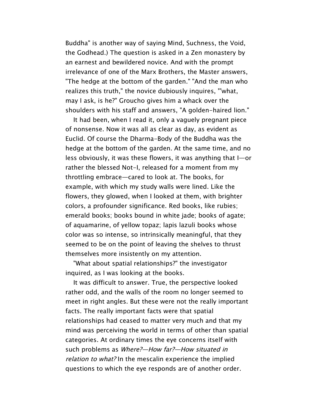Buddha" is another way of saying Mind, Suchness, the Void, the Godhead.) The question is asked in a Zen monastery by an earnest and bewildered novice. And with the prompt irrelevance of one of the Marx Brothers, the Master answers, "The hedge at the bottom of the garden." "And the man who realizes this truth," the novice dubiously inquires, '"what, may I ask, is he?" Groucho gives him a whack over the shoulders with his staff and answers, "A golden-haired lion."

 It had been, when I read it, only a vaguely pregnant piece of nonsense. Now it was all as clear as day, as evident as Euclid. Of course the Dharma-Body of the Buddha was the hedge at the bottom of the garden. At the same time, and no less obviously, it was these flowers, it was anything that I—or rather the blessed Not-I, released for a moment from my throttling embrace—cared to look at. The books, for example, with which my study walls were lined. Like the flowers, they glowed, when I looked at them, with brighter colors, a profounder significance. Red books, like rubies; emerald books; books bound in white jade; books of agate; of aquamarine, of yellow topaz; lapis lazuli books whose color was so intense, so intrinsically meaningful, that they seemed to be on the point of leaving the shelves to thrust themselves more insistently on my attention.

 "What about spatial relationships?" the investigator inquired, as I was looking at the books.

 It was difficult to answer. True, the perspective looked rather odd, and the walls of the room no longer seemed to meet in right angles. But these were not the really important facts. The really important facts were that spatial relationships had ceased to matter very much and that my mind was perceiving the world in terms of other than spatial categories. At ordinary times the eye concerns itself with such problems as *Where?—How far?—How situated in* relation to what? In the mescalin experience the implied questions to which the eye responds are of another order.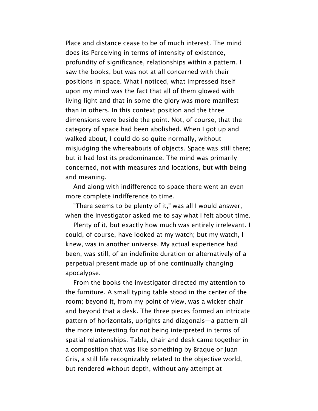Place and distance cease to be of much interest. The mind does its Perceiving in terms of intensity of existence, profundity of significance, relationships within a pattern. I saw the books, but was not at all concerned with their positions in space. What I noticed, what impressed itself upon my mind was the fact that all of them glowed with living light and that in some the glory was more manifest than in others. In this context position and the three dimensions were beside the point. Not, of course, that the category of space had been abolished. When I got up and walked about, I could do so quite normally, without misjudging the whereabouts of objects. Space was still there; but it had lost its predominance. The mind was primarily concerned, not with measures and locations, but with being and meaning.

 And along with indifference to space there went an even more complete indifference to time.

 "There seems to be plenty of it," was all I would answer, when the investigator asked me to say what I felt about time.

 Plenty of it, but exactly how much was entirely irrelevant. I could, of course, have looked at my watch; but my watch, I knew, was in another universe. My actual experience had been, was still, of an indefinite duration or alternatively of a perpetual present made up of one continually changing apocalypse.

 From the books the investigator directed my attention to the furniture. A small typing table stood in the center of the room; beyond it, from my point of view, was a wicker chair and beyond that a desk. The three pieces formed an intricate pattern of horizontals, uprights and diagonals—a pattern all the more interesting for not being interpreted in terms of spatial relationships. Table, chair and desk came together in a composition that was like something by Braque or Juan Gris, a still life recognizably related to the objective world, but rendered without depth, without any attempt at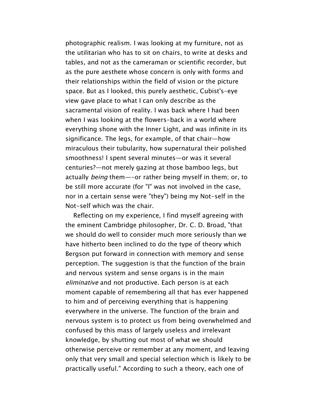photographic realism. I was looking at my furniture, not as the utilitarian who has to sit on chairs, to write at desks and tables, and not as the cameraman or scientific recorder, but as the pure aesthete whose concern is only with forms and their relationships within the field of vision or the picture space. But as I looked, this purely aesthetic, Cubist's-eye view gave place to what I can only describe as the sacramental vision of reality. I was back where I had been when I was looking at the flowers-back in a world where everything shone with the Inner Light, and was infinite in its significance. The legs, for example, of that chair—how miraculous their tubularity, how supernatural their polished smoothness! I spent several minutes—or was it several centuries?—not merely gazing at those bamboo legs, but actually being them—-or rather being myself in them; or, to be still more accurate (for "I" was not involved in the case, nor in a certain sense were "they") being my Not-self in the Not-self which was the chair.

 Reflecting on my experience, I find myself agreeing with the eminent Cambridge philosopher, Dr. C. D. Broad, "that we should do well to consider much more seriously than we have hitherto been inclined to do the type of theory which Bergson put forward in connection with memory and sense perception. The suggestion is that the function of the brain and nervous system and sense organs is in the main eliminative and not productive. Each person is at each moment capable of remembering all that has ever happened to him and of perceiving everything that is happening everywhere in the universe. The function of the brain and nervous system is to protect us from being overwhelmed and confused by this mass of largely useless and irrelevant knowledge, by shutting out most of what we should otherwise perceive or remember at any moment, and leaving only that very small and special selection which is likely to be practically useful." According to such a theory, each one of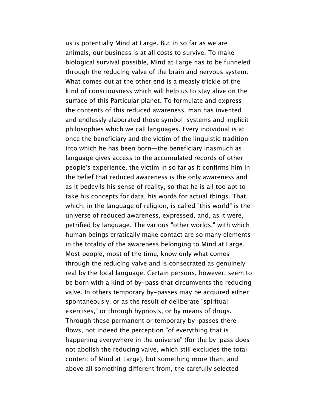us is potentially Mind at Large. But in so far as we are animals, our business is at all costs to survive. To make biological survival possible, Mind at Large has to be funneled through the reducing valve of the brain and nervous system. What comes out at the other end is a measly trickle of the kind of consciousness which will help us to stay alive on the surface of this Particular planet. To formulate and express the contents of this reduced awareness, man has invented and endlessly elaborated those symbol-systems and implicit philosophies which we call languages. Every individual is at once the beneficiary and the victim of the linguistic tradition into which he has been born—the beneficiary inasmuch as language gives access to the accumulated records of other people's experience, the victim in so far as it confirms him in the belief that reduced awareness is the only awareness and as it bedevils his sense of reality, so that he is all too apt to take his concepts for data, his words for actual things. That which, in the language of religion, is called "this world" is the universe of reduced awareness, expressed, and, as it were, petrified by language. The various "other worlds," with which human beings erratically make contact are so many elements in the totality of the awareness belonging to Mind at Large. Most people, most of the time, know only what comes through the reducing valve and is consecrated as genuinely real by the local language. Certain persons, however, seem to be born with a kind of by-pass that circumvents the reducing valve. In others temporary by-passes may be acquired either spontaneously, or as the result of deliberate "spiritual exercises," or through hypnosis, or by means of drugs. Through these permanent or temporary by-passes there flows, not indeed the perception "of everything that is happening everywhere in the universe" (for the by-pass does not abolish the reducing valve, which still excludes the total content of Mind at Large), but something more than, and above all something different from, the carefully selected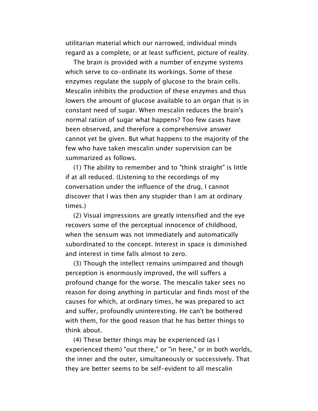utilitarian material which our narrowed, individual minds regard as a complete, or at least sufficient, picture of reality.

 The brain is provided with a number of enzyme systems which serve to co-ordinate its workings. Some of these enzymes regulate the supply of glucose to the brain cells. Mescalin inhibits the production of these enzymes and thus lowers the amount of glucose available to an organ that is in constant need of sugar. When mescalin reduces the brain's normal ration of sugar what happens? Too few cases have been observed, and therefore a comprehensive answer cannot yet be given. But what happens to the majority of the few who have taken mescalin under supervision can be summarized as follows.

 (1) The ability to remember and to "think straight" is little if at all reduced. (Listening to the recordings of my conversation under the influence of the drug, I cannot discover that I was then any stupider than I am at ordinary times.)

 (2) Visual impressions are greatly intensified and the eye recovers some of the perceptual innocence of childhood, when the sensum was not immediately and automatically subordinated to the concept. Interest in space is diminished and interest in time falls almost to zero.

 (3) Though the intellect remains unimpaired and though perception is enormously improved, the will suffers a profound change for the worse. The mescalin taker sees no reason for doing anything in particular and finds most of the causes for which, at ordinary times, he was prepared to act and suffer, profoundly uninteresting. He can't be bothered with them, for the good reason that he has better things to think about.

 (4) These better things may be experienced (as I experienced them) "out there," or "in here," or in both worlds, the inner and the outer, simultaneously or successively. That they are better seems to be self-evident to all mescalin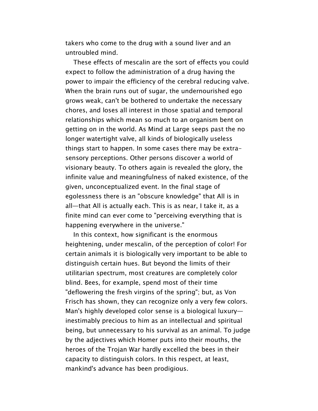takers who come to the drug with a sound liver and an untroubled mind.

 These effects of mescalin are the sort of effects you could expect to follow the administration of a drug having the power to impair the efficiency of the cerebral reducing valve. When the brain runs out of sugar, the undernourished ego grows weak, can't be bothered to undertake the necessary chores, and loses all interest in those spatial and temporal relationships which mean so much to an organism bent on getting on in the world. As Mind at Large seeps past the no longer watertight valve, all kinds of biologically useless things start to happen. In some cases there may be extrasensory perceptions. Other persons discover a world of visionary beauty. To others again is revealed the glory, the infinite value and meaningfulness of naked existence, of the given, unconceptualized event. In the final stage of egolessness there is an "obscure knowledge" that All is in all—that All is actually each. This is as near, I take it, as a finite mind can ever come to "perceiving everything that is happening everywhere in the universe."

 In this context, how significant is the enormous heightening, under mescalin, of the perception of color! For certain animals it is biologically very important to be able to distinguish certain hues. But beyond the limits of their utilitarian spectrum, most creatures are completely color blind. Bees, for example, spend most of their time "deflowering the fresh virgins of the spring"; but, as Von Frisch has shown, they can recognize only a very few colors. Man's highly developed color sense is a biological luxury inestimably precious to him as an intellectual and spiritual being, but unnecessary to his survival as an animal. To judge by the adjectives which Homer puts into their mouths, the heroes of the Trojan War hardly excelled the bees in their capacity to distinguish colors. In this respect, at least, mankind's advance has been prodigious.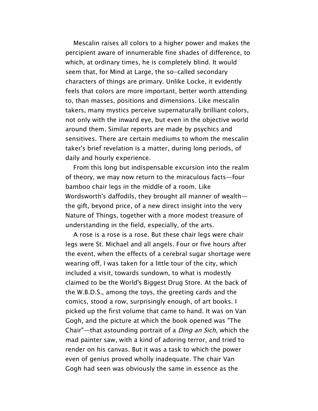Mescalin raises all colors to a higher power and makes the percipient aware of innumerable fine shades of difference, to which, at ordinary times, he is completely blind. It would seem that, for Mind at Large, the so-called secondary characters of things are primary. Unlike Locke, it evidently feels that colors are more important, better worth attending to, than masses, positions and dimensions. Like mescalin takers, many mystics perceive supernaturally brilliant colors, not only with the inward eye, but even in the objective world around them. Similar reports are made by psychics and sensitives. There are certain mediums to whom the mescalin taker's brief revelation is a matter, during long periods, of daily and hourly experience.

 From this long but indispensable excursion into the realm of theory, we may now return to the miraculous facts—four bamboo chair legs in the middle of a room. Like Wordsworth's daffodils, they brought all manner of wealth the gift, beyond price, of a new direct insight into the very Nature of Things, together with a more modest treasure of understanding in the field, especially, of the arts.

 A rose is a rose is a rose. But these chair legs were chair legs were St. Michael and all angels. Four or five hours after the event, when the effects of a cerebral sugar shortage were wearing off, I was taken for a little tour of the city, which included a visit, towards sundown, to what is modestly claimed to be the World's Biggest Drug Store. At the back of the W.B.D.S., among the toys, the greeting cards and the comics, stood a row, surprisingly enough, of art books. I picked up the first volume that came to hand. It was on Van Gogh, and the picture at which the book opened was "The Chair"—that astounding portrait of a Ding an Sich, which the mad painter saw, with a kind of adoring terror, and tried to render on his canvas. But it was a task to which the power even of genius proved wholly inadequate. The chair Van Gogh had seen was obviously the same in essence as the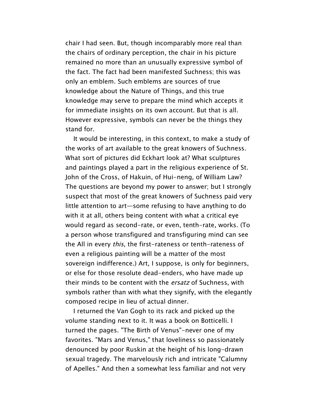chair I had seen. But, though incomparably more real than the chairs of ordinary perception, the chair in his picture remained no more than an unusually expressive symbol of the fact. The fact had been manifested Suchness; this was only an emblem. Such emblems are sources of true knowledge about the Nature of Things, and this true knowledge may serve to prepare the mind which accepts it for immediate insights on its own account. But that is all. However expressive, symbols can never be the things they stand for.

 It would be interesting, in this context, to make a study of the works of art available to the great knowers of Suchness. What sort of pictures did Eckhart look at? What sculptures and paintings played a part in the religious experience of St. John of the Cross, of Hakuin, of Hui-neng, of William Law? The questions are beyond my power to answer; but I strongly suspect that most of the great knowers of Suchness paid very little attention to art—some refusing to have anything to do with it at all, others being content with what a critical eye would regard as second-rate, or even, tenth-rate, works. (To a person whose transfigured and transfiguring mind can see the All in every *this*, the first-rateness or tenth-rateness of even a religious painting will be a matter of the most sovereign indifference.) Art, I suppose, is only for beginners, or else for those resolute dead-enders, who have made up their minds to be content with the ersatz of Suchness, with symbols rather than with what they signify, with the elegantly composed recipe in lieu of actual dinner.

 I returned the Van Gogh to its rack and picked up the volume standing next to it. It was a book on Botticelli. I turned the pages. "The Birth of Venus"-never one of my favorites. "Mars and Venus," that loveliness so passionately denounced by poor Ruskin at the height of his long-drawn sexual tragedy. The marvelously rich and intricate "Calumny of Apelles." And then a somewhat less familiar and not very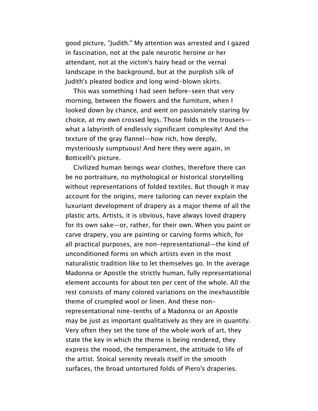good picture, "Judith." My attention was arrested and I gazed in fascination, not at the pale neurotic heroine or her attendant, not at the victim's hairy head or the vernal landscape in the background, but at the purplish silk of Judith's pleated bodice and long wind-blown skirts.

 This was something I had seen before-seen that very morning, between the flowers and the furniture, when I looked down by chance, and went on passionately staring by choice, at my own crossed legs. Those folds in the trousers what a labyrinth of endlessly significant complexity! And the texture of the gray flannel—how rich, how deeply, mysteriously sumptuous! And here they were again, in Botticelli's picture.

 Civilized human beings wear clothes, therefore there can be no portraiture, no mythological or historical storytelling without representations of folded textiles. But though it may account for the origins, mere tailoring can never explain the luxuriant development of drapery as a major theme of all the plastic arts. Artists, it is obvious, have always loved drapery for its own sake—or, rather, for their own. When you paint or carve drapery, you are painting or carving forms which, for all practical purposes, are non-representational—the kind of unconditioned forms on which artists even in the most naturalistic tradition like to let themselves go. In the average Madonna or Apostle the strictly human, fully representational element accounts for about ten per cent of the whole. All the rest consists of many colored variations on the inexhaustible theme of crumpled wool or linen. And these nonrepresentational nine-tenths of a Madonna or an Apostle may be just as important qualitatively as they are in quantity. Very often they set the tone of the whole work of art, they state the key in which the theme is being rendered, they express the mood, the temperament, the attitude to life of the artist. Stoical serenity reveals itself in the smooth surfaces, the broad untortured folds of Piero's draperies.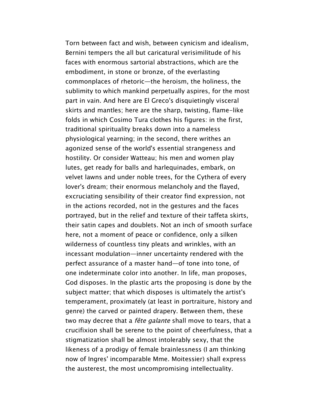Torn between fact and wish, between cynicism and idealism, Bernini tempers the all but caricatural verisimilitude of his faces with enormous sartorial abstractions, which are the embodiment, in stone or bronze, of the everlasting commonplaces of rhetoric—the heroism, the holiness, the sublimity to which mankind perpetually aspires, for the most part in vain. And here are El Greco's disquietingly visceral skirts and mantles; here are the sharp, twisting, flame-like folds in which Cosimo Tura clothes his figures: in the first, traditional spirituality breaks down into a nameless physiological yearning; in the second, there writhes an agonized sense of the world's essential strangeness and hostility. Or consider Watteau; his men and women play lutes, get ready for balls and harlequinades, embark, on velvet lawns and under noble trees, for the Cythera of every lover's dream; their enormous melancholy and the flayed, excruciating sensibility of their creator find expression, not in the actions recorded, not in the gestures and the faces portrayed, but in the relief and texture of their taffeta skirts, their satin capes and doublets. Not an inch of smooth surface here, not a moment of peace or confidence, only a silken wilderness of countless tiny pleats and wrinkles, with an incessant modulation—inner uncertainty rendered with the perfect assurance of a master hand—of tone into tone, of one indeterminate color into another. In life, man proposes, God disposes. In the plastic arts the proposing is done by the subject matter; that which disposes is ultimately the artist's temperament, proximately (at least in portraiture, history and genre) the carved or painted drapery. Between them, these two may decree that a *fête galante* shall move to tears, that a crucifixion shall be serene to the point of cheerfulness, that a stigmatization shall be almost intolerably sexy, that the likeness of a prodigy of female brainlessness (I am thinking now of Ingres' incomparable Mme. Moitessier) shall express the austerest, the most uncompromising intellectuality.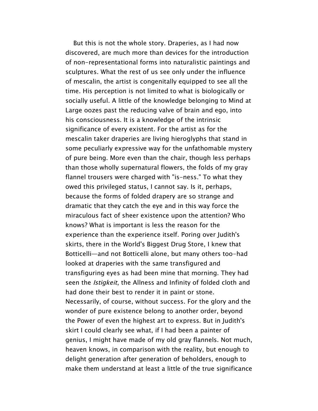But this is not the whole story. Draperies, as I had now discovered, are much more than devices for the introduction of non-representational forms into naturalistic paintings and sculptures. What the rest of us see only under the influence of mescalin, the artist is congenitally equipped to see all the time. His perception is not limited to what is biologically or socially useful. A little of the knowledge belonging to Mind at Large oozes past the reducing valve of brain and ego, into his consciousness. It is a knowledge of the intrinsic significance of every existent. For the artist as for the mescalin taker draperies are living hieroglyphs that stand in some peculiarly expressive way for the unfathomable mystery of pure being. More even than the chair, though less perhaps than those wholly supernatural flowers, the folds of my gray flannel trousers were charged with "is-ness." To what they owed this privileged status, I cannot say. Is it, perhaps, because the forms of folded drapery are so strange and dramatic that they catch the eye and in this way force the miraculous fact of sheer existence upon the attention? Who knows? What is important is less the reason for the experience than the experience itself. Poring over Judith's skirts, there in the World's Biggest Drug Store, I knew that Botticelli—and not Botticelli alone, but many others too-had looked at draperies with the same transfigured and transfiguring eyes as had been mine that morning. They had seen the *Istigkeit*, the Allness and Infinity of folded cloth and had done their best to render it in paint or stone. Necessarily, of course, without success. For the glory and the wonder of pure existence belong to another order, beyond the Power of even the highest art to express. But in Judith's skirt I could clearly see what, if I had been a painter of genius, I might have made of my old gray flannels. Not much, heaven knows, in comparison with the reality, but enough to delight generation after generation of beholders, enough to make them understand at least a little of the true significance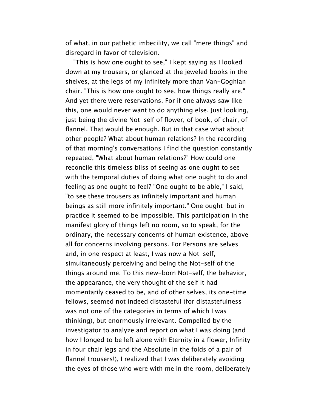of what, in our pathetic imbecility, we call "mere things" and disregard in favor of television.

 "This is how one ought to see," I kept saying as I looked down at my trousers, or glanced at the jeweled books in the shelves, at the legs of my infinitely more than Van-Goghian chair. "This is how one ought to see, how things really are." And yet there were reservations. For if one always saw like this, one would never want to do anything else. Just looking, just being the divine Not-self of flower, of book, of chair, of flannel. That would be enough. But in that case what about other people? What about human relations? In the recording of that morning's conversations I find the question constantly repeated, "What about human relations?" How could one reconcile this timeless bliss of seeing as one ought to see with the temporal duties of doing what one ought to do and feeling as one ought to feel? "One ought to be able," I said, "to see these trousers as infinitely important and human beings as still more infinitely important." One ought-but in practice it seemed to be impossible. This participation in the manifest glory of things left no room, so to speak, for the ordinary, the necessary concerns of human existence, above all for concerns involving persons. For Persons are selves and, in one respect at least, I was now a Not-self, simultaneously perceiving and being the Not-self of the things around me. To this new-born Not-self, the behavior, the appearance, the very thought of the self it had momentarily ceased to be, and of other selves, its one-time fellows, seemed not indeed distasteful (for distastefulness was not one of the categories in terms of which I was thinking), but enormously irrelevant. Compelled by the investigator to analyze and report on what I was doing (and how I longed to be left alone with Eternity in a flower, Infinity in four chair legs and the Absolute in the folds of a pair of flannel trousers!), I realized that I was deliberately avoiding the eyes of those who were with me in the room, deliberately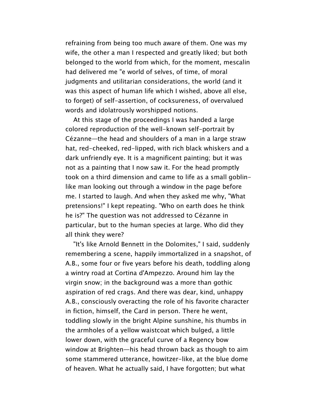refraining from being too much aware of them. One was my wife, the other a man I respected and greatly liked; but both belonged to the world from which, for the moment, mescalin had delivered me "e world of selves, of time, of moral judgments and utilitarian considerations, the world (and it was this aspect of human life which I wished, above all else, to forget) of self-assertion, of cocksureness, of overvalued words and idolatrously worshipped notions.

 At this stage of the proceedings I was handed a large colored reproduction of the well-known self-portrait by Cézanne—the head and shoulders of a man in a large straw hat, red-cheeked, red-lipped, with rich black whiskers and a dark unfriendly eye. It is a magnificent painting; but it was not as a painting that I now saw it. For the head promptly took on a third dimension and came to life as a small goblinlike man looking out through a window in the page before me. I started to laugh. And when they asked me why, "What pretensions!" I kept repeating. "Who on earth does he think he is?" The question was not addressed to Cézanne in particular, but to the human species at large. Who did they all think they were?

 "It's like Arnold Bennett in the Dolomites," I said, suddenly remembering a scene, happily immortalized in a snapshot, of A.B., some four or five years before his death, toddling along a wintry road at Cortina d'Ampezzo. Around him lay the virgin snow; in the background was a more than gothic aspiration of red crags. And there was dear, kind, unhappy A.B., consciously overacting the role of his favorite character in fiction, himself, the Card in person. There he went, toddling slowly in the bright Alpine sunshine, his thumbs in the armholes of a yellow waistcoat which bulged, a little lower down, with the graceful curve of a Regency bow window at Brighten—his head thrown back as though to aim some stammered utterance, howitzer-like, at the blue dome of heaven. What he actually said, I have forgotten; but what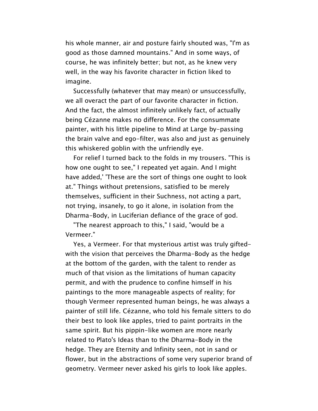his whole manner, air and posture fairly shouted was, "I'm as good as those damned mountains." And in some ways, of course, he was infinitely better; but not, as he knew very well, in the way his favorite character in fiction liked to imagine.

 Successfully (whatever that may mean) or unsuccessfully, we all overact the part of our favorite character in fiction. And the fact, the almost infinitely unlikely fact, of actually being Cézanne makes no difference. For the consummate painter, with his little pipeline to Mind at Large by-passing the brain valve and ego-filter, was also and just as genuinely this whiskered goblin with the unfriendly eye.

 For relief I turned back to the folds in my trousers. "This is how one ought to see," I repeated yet again. And I might have added,' 'These are the sort of things one ought to look at." Things without pretensions, satisfied to be merely themselves, sufficient in their Suchness, not acting a part, not trying, insanely, to go it alone, in isolation from the Dharma-Body, in Luciferian defiance of the grace of god.

 "The nearest approach to this," I said, "would be a Vermeer."

 Yes, a Vermeer. For that mysterious artist was truly giftedwith the vision that perceives the Dharma-Body as the hedge at the bottom of the garden, with the talent to render as much of that vision as the limitations of human capacity permit, and with the prudence to confine himself in his paintings to the more manageable aspects of reality; for though Vermeer represented human beings, he was always a painter of still life. Cézanne, who told his female sitters to do their best to look like apples, tried to paint portraits in the same spirit. But his pippin-like women are more nearly related to Plato's Ideas than to the Dharma-Body in the hedge. They are Eternity and Infinity seen, not in sand or flower, but in the abstractions of some very superior brand of geometry. Vermeer never asked his girls to look like apples.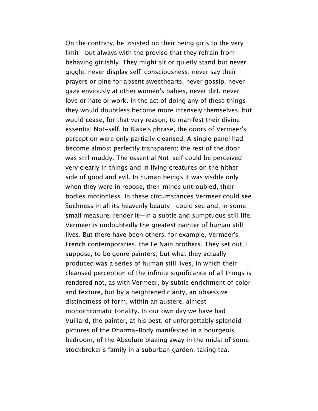On the contrary, he insisted on their being girls to the very limit—but always with the proviso that they refrain from behaving girlishly. They might sit or quietly stand but never giggle, never display self-consciousness, never say their prayers or pine for absent sweethearts, never gossip, never gaze enviously at other women's babies, never dirt, never love or hate or work. In the act of doing any of these things they would doubtless become more intensely themselves, but would cease, for that very reason, to manifest their divine essential Not-self. In Blake's phrase, the doors of Vermeer's perception were only partially cleansed. A single panel had become almost perfectly transparent; the rest of the door was still muddy. The essential Not-self could be perceived very clearly in things and in living creatures on the hither side of good and evil. In human beings it was visible only when they were in repose, their minds untroubled, their bodies motionless. In these circumstances Vermeer could see Suchness in all its heavenly beauty—could see and, in some small measure, render it—in a subtle and sumptuous still life. Vermeer is undoubtedly the greatest painter of human still lives. But there have been others, for example, Vermeer's French contemporaries, the Le Nain brothers. They set out, I suppose, to be genre painters; but what they actually produced was a series of human still lives, in which their cleansed perception of the infinite significance of all things is rendered not, as with Vermeer, by subtle enrichment of color and texture, but by a heightened clarity, an obsessive distinctness of form, within an austere, almost monochromatic tonality. In our own day we have had Vuillard, the painter, at his best, of unforgettably splendid pictures of the Dharma-Body manifested in a bourgeois bedroom, of the Absolute blazing away in the midst of some stockbroker's family in a suburban garden, taking tea.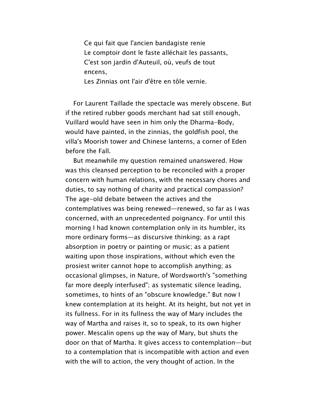Ce qui fait que l'ancien bandagiste renie Le comptoir dont le faste alléchait les passants, C'est son jardin d'Auteuil, où, veufs de tout encens,

Les Zinnias ont l'air d'être en tôle vernie.

 For Laurent Taillade the spectacle was merely obscene. But if the retired rubber goods merchant had sat still enough, Vuillard would have seen in him only the Dharma-Body, would have painted, in the zinnias, the goldfish pool, the villa's Moorish tower and Chinese lanterns, a corner of Eden before the Fall.

 But meanwhile my question remained unanswered. How was this cleansed perception to be reconciled with a proper concern with human relations, with the necessary chores and duties, to say nothing of charity and practical compassion? The age-old debate between the actives and the contemplatives was being renewed—renewed, so far as I was concerned, with an unprecedented poignancy. For until this morning I had known contemplation only in its humbler, its more ordinary forms—as discursive thinking; as a rapt absorption in poetry or painting or music; as a patient waiting upon those inspirations, without which even the prosiest writer cannot hope to accomplish anything; as occasional glimpses, in Nature, of Wordsworth's "something far more deeply interfused"; as systematic silence leading, sometimes, to hints of an "obscure knowledge." But now I knew contemplation at its height. At its height, but not yet in its fullness. For in its fullness the way of Mary includes the way of Martha and raises it, so to speak, to its own higher power. Mescalin opens up the way of Mary, but shuts the door on that of Martha. It gives access to contemplation—but to a contemplation that is incompatible with action and even with the will to action, the very thought of action. In the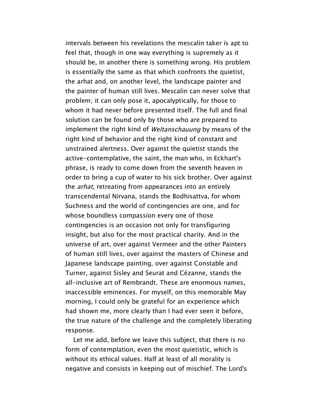intervals between his revelations the mescalin taker is apt to feel that, though in one way everything is supremely as it should be, in another there is something wrong. His problem is essentially the same as that which confronts the quietist, the arhat and, on another level, the landscape painter and the painter of human still lives. Mescalin can never solve that problem; it can only pose it, apocalyptically, for those to whom it had never before presented itself. The full and final solution can be found only by those who are prepared to implement the right kind of Weltanschauung by means of the right kind of behavior and the right kind of constant and unstrained alertness. Over against the quietist stands the active-contemplative, the saint, the man who, in Eckhart's phrase, is ready to come down from the seventh heaven in order to bring a cup of water to his sick brother. Over against the *arhat*, retreating from appearances into an entirely transcendental Nirvana, stands the Bodhisattva, for whom Suchness and the world of contingencies are one, and for whose boundless compassion every one of those contingencies is an occasion not only for transfiguring insight, but also for the most practical charity. And in the universe of art, over against Vermeer and the other Painters of human still lives, over against the masters of Chinese and Japanese landscape painting, over against Constable and Turner, against Sisley and Seurat and Cézanne, stands the all-inclusive art of Rembrandt. These are enormous names, inaccessible eminences. For myself, on this memorable May morning, I could only be grateful for an experience which had shown me, more clearly than I had ever seen it before, the true nature of the challenge and the completely liberating response.

 Let me add, before we leave this subject, that there is no form of contemplation, even the most quietistic, which is without its ethical values. Half at least of all morality is negative and consists in keeping out of mischief. The Lord's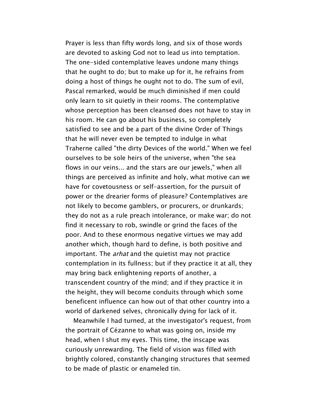Prayer is less than fifty words long, and six of those words are devoted to asking God not to lead us into temptation. The one-sided contemplative leaves undone many things that he ought to do; but to make up for it, he refrains from doing a host of things he ought not to do. The sum of evil, Pascal remarked, would be much diminished if men could only learn to sit quietly in their rooms. The contemplative whose perception has been cleansed does not have to stay in his room. He can go about his business, so completely satisfied to see and be a part of the divine Order of Things that he will never even be tempted to indulge in what Traherne called "the dirty Devices of the world." When we feel ourselves to be sole heirs of the universe, when "the sea flows in our veins... and the stars are our jewels," when all things are perceived as infinite and holy, what motive can we have for covetousness or self-assertion, for the pursuit of power or the drearier forms of pleasure? Contemplatives are not likely to become gamblers, or procurers, or drunkards; they do not as a rule preach intolerance, or make war; do not find it necessary to rob, swindle or grind the faces of the poor. And to these enormous negative virtues we may add another which, though hard to define, is both positive and important. The *arhat* and the quietist may not practice contemplation in its fullness; but if they practice it at all, they may bring back enlightening reports of another, a transcendent country of the mind; and if they practice it in the height, they will become conduits through which some beneficent influence can how out of that other country into a world of darkened selves, chronically dying for lack of it.

 Meanwhile I had turned, at the investigator's request, from the portrait of Cézanne to what was going on, inside my head, when I shut my eyes. This time, the inscape was curiously unrewarding. The field of vision was filled with brightly colored, constantly changing structures that seemed to be made of plastic or enameled tin.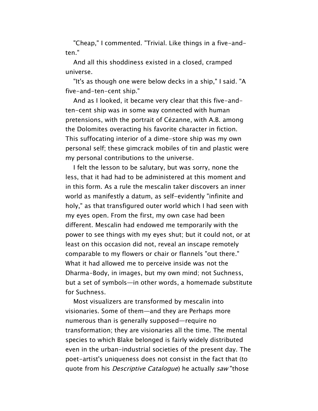"Cheap," I commented. "Trivial. Like things in a five-andten."

 And all this shoddiness existed in a closed, cramped universe.

 "It's as though one were below decks in a ship," I said. "A five-and-ten-cent ship."

 And as I looked, it became very clear that this five-andten-cent ship was in some way connected with human pretensions, with the portrait of Cézanne, with A.B. among the Dolomites overacting his favorite character in fiction. This suffocating interior of a dime-store ship was my own personal self; these gimcrack mobiles of tin and plastic were my personal contributions to the universe.

 I felt the lesson to be salutary, but was sorry, none the less, that it had had to be administered at this moment and in this form. As a rule the mescalin taker discovers an inner world as manifestly a datum, as self-evidently "infinite and holy," as that transfigured outer world which I had seen with my eyes open. From the first, my own case had been different. Mescalin had endowed me temporarily with the power to see things with my eyes shut; but it could not, or at least on this occasion did not, reveal an inscape remotely comparable to my flowers or chair or flannels "out there." What it had allowed me to perceive inside was not the Dharma-Body, in images, but my own mind; not Suchness, but a set of symbols—in other words, a homemade substitute for Suchness.

 Most visualizers are transformed by mescalin into visionaries. Some of them—and they are Perhaps more numerous than is generally supposed—require no transformation; they are visionaries all the time. The mental species to which Blake belonged is fairly widely distributed even in the urban-industrial societies of the present day. The poet-artist's uniqueness does not consist in the fact that (to quote from his *Descriptive Catalogue*) he actually saw "those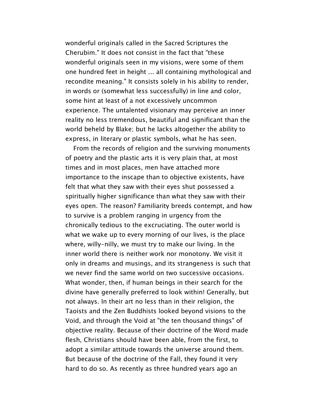wonderful originals called in the Sacred Scriptures the Cherubim." It does not consist in the fact that "these wonderful originals seen in my visions, were some of them one hundred feet in height ... all containing mythological and recondite meaning." It consists solely in his ability to render, in words or (somewhat less successfully) in line and color, some hint at least of a not excessively uncommon experience. The untalented visionary may perceive an inner reality no less tremendous, beautiful and significant than the world beheld by Blake; but he lacks altogether the ability to express, in literary or plastic symbols, what he has seen.

 From the records of religion and the surviving monuments of poetry and the plastic arts it is very plain that, at most times and in most places, men have attached more importance to the inscape than to objective existents, have felt that what they saw with their eyes shut possessed a spiritually higher significance than what they saw with their eyes open. The reason? Familiarity breeds contempt, and how to survive is a problem ranging in urgency from the chronically tedious to the excruciating. The outer world is what we wake up to every morning of our lives, is the place where, willy-nilly, we must try to make our living. In the inner world there is neither work nor monotony. We visit it only in dreams and musings, and its strangeness is such that we never find the same world on two successive occasions. What wonder, then, if human beings in their search for the divine have generally preferred to look within! Generally, but not always. In their art no less than in their religion, the Taoists and the Zen Buddhists looked beyond visions to the Void, and through the Void at "the ten thousand things" of objective reality. Because of their doctrine of the Word made flesh, Christians should have been able, from the first, to adopt a similar attitude towards the universe around them. But because of the doctrine of the Fall, they found it very hard to do so. As recently as three hundred years ago an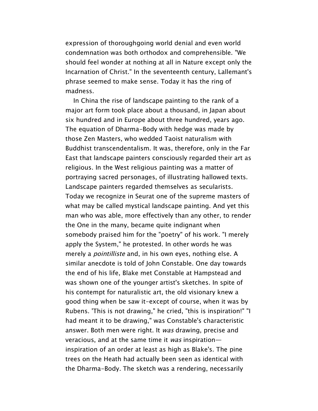expression of thoroughgoing world denial and even world condemnation was both orthodox and comprehensible. "We should feel wonder at nothing at all in Nature except only the Incarnation of Christ." In the seventeenth century, Lallemant's phrase seemed to make sense. Today it has the ring of madness.

 In China the rise of landscape painting to the rank of a major art form took place about a thousand, in Japan about six hundred and in Europe about three hundred, years ago. The equation of Dharma-Body with hedge was made by those Zen Masters, who wedded Taoist naturalism with Buddhist transcendentalism. It was, therefore, only in the Far East that landscape painters consciously regarded their art as religious. In the West religious painting was a matter of portraying sacred personages, of illustrating hallowed texts. Landscape painters regarded themselves as secularists. Today we recognize in Seurat one of the supreme masters of what may be called mystical landscape painting. And yet this man who was able, more effectively than any other, to render the One in the many, became quite indignant when somebody praised him for the "poetry" of his work. "I merely apply the System," he protested. In other words he was merely a *pointilliste* and, in his own eyes, nothing else. A similar anecdote is told of John Constable. One day towards the end of his life, Blake met Constable at Hampstead and was shown one of the younger artist's sketches. In spite of his contempt for naturalistic art, the old visionary knew a good thing when be saw it-except of course, when it was by Rubens. 'This is not drawing," he cried, "this is inspiration!" "I had meant it to be drawing," was Constable's characteristic answer. Both men were right. It was drawing, precise and veracious, and at the same time it was inspiration inspiration of an order at least as high as Blake's. The pine trees on the Heath had actually been seen as identical with the Dharma-Body. The sketch was a rendering, necessarily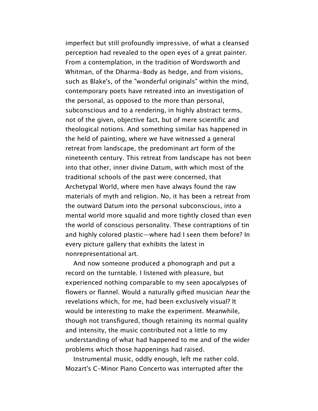imperfect but still profoundly impressive, of what a cleansed perception had revealed to the open eyes of a great painter. From a contemplation, in the tradition of Wordsworth and Whitman, of the Dharma-Body as hedge, and from visions, such as Blake's, of the "wonderful originals" within the mind, contemporary poets have retreated into an investigation of the personal, as opposed to the more than personal, subconscious and to a rendering, in highly abstract terms, not of the given, objective fact, but of mere scientific and theological notions. And something similar has happened in the held of painting, where we have witnessed a general retreat from landscape, the predominant art form of the nineteenth century. This retreat from landscape has not been into that other, inner divine Datum, with which most of the traditional schools of the past were concerned, that Archetypal World, where men have always found the raw materials of myth and religion. No, it has been a retreat from the outward Datum into the personal subconscious, into a mental world more squalid and more tightly closed than even the world of conscious personality. These contraptions of tin and highly colored plastic—where had I seen them before? In every picture gallery that exhibits the latest in nonrepresentational art.

 And now someone produced a phonograph and put a record on the turntable. I listened with pleasure, but experienced nothing comparable to my seen apocalypses of flowers or flannel. Would a naturally gifted musician *hear* the revelations which, for me, had been exclusively visual? It would be interesting to make the experiment. Meanwhile, though not transfigured, though retaining its normal quality and intensity, the music contributed not a little to my understanding of what had happened to me and of the wider problems which those happenings had raised.

 Instrumental music, oddly enough, left me rather cold. Mozart's C-Minor Piano Concerto was interrupted after the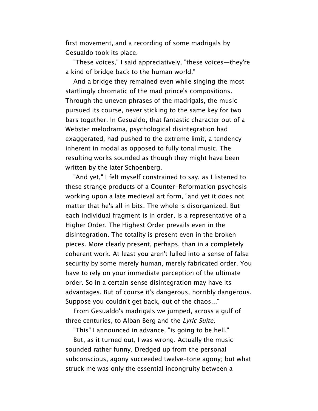first movement, and a recording of some madrigals by Gesualdo took its place.

 "These voices," I said appreciatively, "these voices—they're a kind of bridge back to the human world."

 And a bridge they remained even while singing the most startlingly chromatic of the mad prince's compositions. Through the uneven phrases of the madrigals, the music pursued its course, never sticking to the same key for two bars together. In Gesualdo, that fantastic character out of a Webster melodrama, psychological disintegration had exaggerated, had pushed to the extreme limit, a tendency inherent in modal as opposed to fully tonal music. The resulting works sounded as though they might have been written by the later Schoenberg.

 "And yet," I felt myself constrained to say, as I listened to these strange products of a Counter-Reformation psychosis working upon a late medieval art form, "and yet it does not matter that he's all in bits. The whole is disorganized. But each individual fragment is in order, is a representative of a Higher Order. The Highest Order prevails even in the disintegration. The totality is present even in the broken pieces. More clearly present, perhaps, than in a completely coherent work. At least you aren't lulled into a sense of false security by some merely human, merely fabricated order. You have to rely on your immediate perception of the ultimate order. So in a certain sense disintegration may have its advantages. But of course it's dangerous, horribly dangerous. Suppose you couldn't get back, out of the chaos..."

 From Gesualdo's madrigals we jumped, across a gulf of three centuries, to Alban Berg and the Lyric Suite.

"This" I announced in advance, "is going to be hell."

 But, as it turned out, I was wrong. Actually the music sounded rather funny. Dredged up from the personal subconscious, agony succeeded twelve-tone agony; but what struck me was only the essential incongruity between a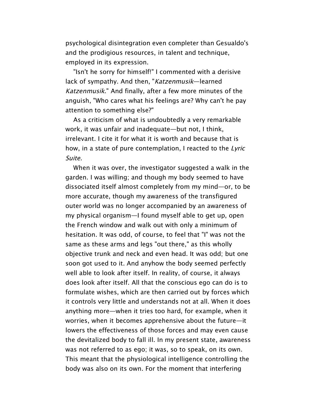psychological disintegration even completer than Gesualdo's and the prodigious resources, in talent and technique, employed in its expression.

 "Isn't he sorry for himself!" I commented with a derisive lack of sympathy. And then, "Katzenmusik—learned Katzenmusik." And finally, after a few more minutes of the anguish, "Who cares what his feelings are? Why can't he pay attention to something else?"

 As a criticism of what is undoubtedly a very remarkable work, it was unfair and inadequate—but not, I think, irrelevant. I cite it for what it is worth and because that is how, in a state of pure contemplation, I reacted to the Lyric Suite.

 When it was over, the investigator suggested a walk in the garden. I was willing; and though my body seemed to have dissociated itself almost completely from my mind—or, to be more accurate, though my awareness of the transfigured outer world was no longer accompanied by an awareness of my physical organism—I found myself able to get up, open the French window and walk out with only a minimum of hesitation. It was odd, of course, to feel that "I" was not the same as these arms and legs "out there," as this wholly objective trunk and neck and even head. It was odd; but one soon got used to it. And anyhow the body seemed perfectly well able to look after itself. In reality, of course, it always does look after itself. All that the conscious ego can do is to formulate wishes, which are then carried out by forces which it controls very little and understands not at all. When it does anything more—when it tries too hard, for example, when it worries, when it becomes apprehensive about the future—it lowers the effectiveness of those forces and may even cause the devitalized body to fall ill. In my present state, awareness was not referred to as ego; it was, so to speak, on its own. This meant that the physiological intelligence controlling the body was also on its own. For the moment that interfering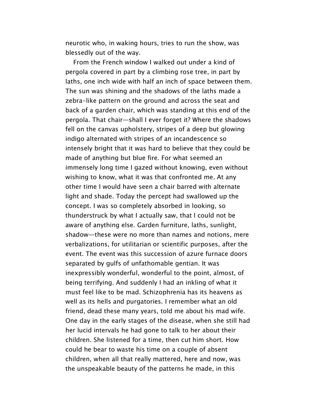neurotic who, in waking hours, tries to run the show, was blessedly out of the way.

 From the French window I walked out under a kind of pergola covered in part by a climbing rose tree, in part by laths, one inch wide with half an inch of space between them. The sun was shining and the shadows of the laths made a zebra-like pattern on the ground and across the seat and back of a garden chair, which was standing at this end of the pergola. That chair—shall I ever forget it? Where the shadows fell on the canvas upholstery, stripes of a deep but glowing indigo alternated with stripes of an incandescence so intensely bright that it was hard to believe that they could be made of anything but blue fire. For what seemed an immensely long time I gazed without knowing, even without wishing to know, what it was that confronted me. At any other time I would have seen a chair barred with alternate light and shade. Today the percept had swallowed up the concept. I was so completely absorbed in looking, so thunderstruck by what I actually saw, that I could not be aware of anything else. Garden furniture, laths, sunlight, shadow—these were no more than names and notions, mere verbalizations, for utilitarian or scientific purposes, after the event. The event was this succession of azure furnace doors separated by gulfs of unfathomable gentian. It was inexpressibly wonderful, wonderful to the point, almost, of being terrifying. And suddenly I had an inkling of what it must feel like to be mad. Schizophrenia has its heavens as well as its hells and purgatories. I remember what an old friend, dead these many years, told me about his mad wife. One day in the early stages of the disease, when she still had her lucid intervals he had gone to talk to her about their children. She listened for a time, then cut him short. How could he bear to waste his time on a couple of absent children, when all that really mattered, here and now, was the unspeakable beauty of the patterns he made, in this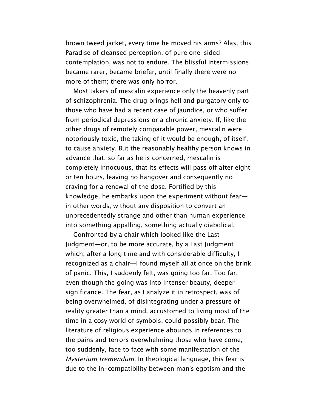brown tweed jacket, every time he moved his arms? Alas, this Paradise of cleansed perception, of pure one-sided contemplation, was not to endure. The blissful intermissions became rarer, became briefer, until finally there were no more of them; there was only horror.

 Most takers of mescalin experience only the heavenly part of schizophrenia. The drug brings hell and purgatory only to those who have had a recent case of jaundice, or who suffer from periodical depressions or a chronic anxiety. If, like the other drugs of remotely comparable power, mescalin were notoriously toxic, the taking of it would be enough, of itself, to cause anxiety. But the reasonably healthy person knows in advance that, so far as he is concerned, mescalin is completely innocuous, that its effects will pass off after eight or ten hours, leaving no hangover and consequently no craving for a renewal of the dose. Fortified by this knowledge, he embarks upon the experiment without fear in other words, without any disposition to convert an unprecedentedly strange and other than human experience into something appalling, something actually diabolical.

 Confronted by a chair which looked like the Last Judgment—or, to be more accurate, by a Last Judgment which, after a long time and with considerable difficulty, I recognized as a chair—I found myself all at once on the brink of panic. This, I suddenly felt, was going too far. Too far, even though the going was into intenser beauty, deeper significance. The fear, as I analyze it in retrospect, was of being overwhelmed, of disintegrating under a pressure of reality greater than a mind, accustomed to living most of the time in a cosy world of symbols, could possibly bear. The literature of religious experience abounds in references to the pains and terrors overwhelming those who have come, too suddenly, face to face with some manifestation of the Mysterium tremendum. In theological language, this fear is due to the in-compatibility between man's egotism and the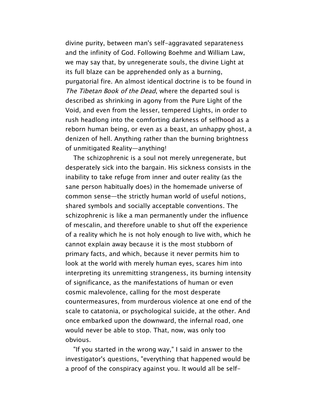divine purity, between man's self-aggravated separateness and the infinity of God. Following Boehme and William Law, we may say that, by unregenerate souls, the divine Light at its full blaze can be apprehended only as a burning, purgatorial fire. An almost identical doctrine is to be found in The Tibetan Book of the Dead, where the departed soul is described as shrinking in agony from the Pure Light of the Void, and even from the lesser, tempered Lights, in order to rush headlong into the comforting darkness of selfhood as a reborn human being, or even as a beast, an unhappy ghost, a denizen of hell. Anything rather than the burning brightness of unmitigated Reality—anything!

 The schizophrenic is a soul not merely unregenerate, but desperately sick into the bargain. His sickness consists in the inability to take refuge from inner and outer reality (as the sane person habitually does) in the homemade universe of common sense—the strictly human world of useful notions, shared symbols and socially acceptable conventions. The schizophrenic is like a man permanently under the influence of mescalin, and therefore unable to shut off the experience of a reality which he is not holy enough to live with, which he cannot explain away because it is the most stubborn of primary facts, and which, because it never permits him to look at the world with merely human eyes, scares him into interpreting its unremitting strangeness, its burning intensity of significance, as the manifestations of human or even cosmic malevolence, calling for the most desperate countermeasures, from murderous violence at one end of the scale to catatonia, or psychological suicide, at the other. And once embarked upon the downward, the infernal road, one would never be able to stop. That, now, was only too obvious.

 "If you started in the wrong way," I said in answer to the investigator's questions, "everything that happened would be a proof of the conspiracy against you. It would all be self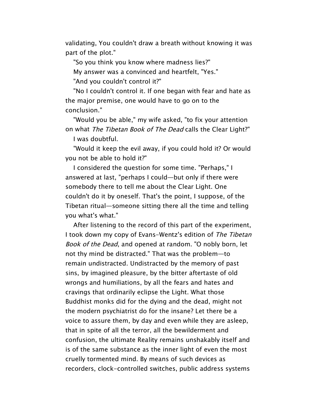validating, You couldn't draw a breath without knowing it was part of the plot."

"So you think you know where madness lies?"

My answer was a convinced and heartfelt, "Yes."

"And you couldn't control it?"

 "No I couldn't control it. If one began with fear and hate as the major premise, one would have to go on to the conclusion."

 "Would you be able," my wife asked, "to fix your attention on what The Tibetan Book of The Dead calls the Clear Light?"

I was doubtful.

 "Would it keep the evil away, if you could hold it? Or would you not be able to hold it?"

 I considered the question for some time. "Perhaps," I answered at last, "perhaps I could—but only if there were somebody there to tell me about the Clear Light. One couldn't do it by oneself. That's the point, I suppose, of the Tibetan ritual—someone sitting there all the time and telling you what's what."

 After listening to the record of this part of the experiment, I took down my copy of Evans-Wentz's edition of The Tibetan Book of the Dead, and opened at random. "O nobly born, let not thy mind be distracted." That was the problem—to remain undistracted. Undistracted by the memory of past sins, by imagined pleasure, by the bitter aftertaste of old wrongs and humiliations, by all the fears and hates and cravings that ordinarily eclipse the Light. What those Buddhist monks did for the dying and the dead, might not the modern psychiatrist do for the insane? Let there be a voice to assure them, by day and even while they are asleep, that in spite of all the terror, all the bewilderment and confusion, the ultimate Reality remains unshakably itself and is of the same substance as the inner light of even the most cruelly tormented mind. By means of such devices as recorders, clock-controlled switches, public address systems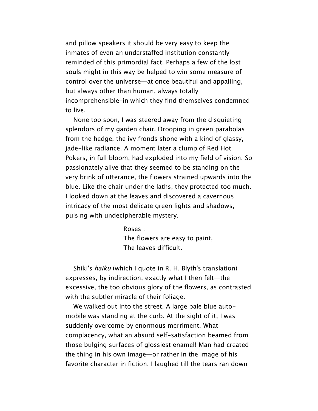and pillow speakers it should be very easy to keep the inmates of even an understaffed institution constantly reminded of this primordial fact. Perhaps a few of the lost souls might in this way be helped to win some measure of control over the universe—at once beautiful and appalling, but always other than human, always totally incomprehensible-in which they find themselves condemned to live.

 None too soon, I was steered away from the disquieting splendors of my garden chair. Drooping in green parabolas from the hedge, the ivy fronds shone with a kind of glassy, jade-like radiance. A moment later a clump of Red Hot Pokers, in full bloom, had exploded into my field of vision. So passionately alive that they seemed to be standing on the very brink of utterance, the flowers strained upwards into the blue. Like the chair under the laths, they protected too much. I looked down at the leaves and discovered a cavernous intricacy of the most delicate green lights and shadows, pulsing with undecipherable mystery.

> Roses : The flowers are easy to paint, The leaves difficult.

Shiki's *haiku* (which I quote in R. H. Blyth's translation) expresses, by indirection, exactly what I then felt—the excessive, the too obvious glory of the flowers, as contrasted with the subtler miracle of their foliage.

 We walked out into the street. A large pale blue automobile was standing at the curb. At the sight of it, I was suddenly overcome by enormous merriment. What complacency, what an absurd self-satisfaction beamed from those bulging surfaces of glossiest enamel! Man had created the thing in his own image—or rather in the image of his favorite character in fiction. I laughed till the tears ran down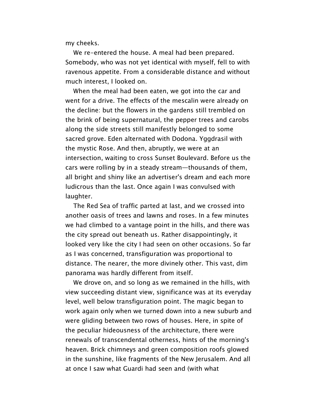my cheeks.

 We re-entered the house. A meal had been prepared. Somebody, who was not yet identical with myself, fell to with ravenous appetite. From a considerable distance and without much interest, I looked on.

 When the meal had been eaten, we got into the car and went for a drive. The effects of the mescalin were already on the decline: but the flowers in the gardens still trembled on the brink of being supernatural, the pepper trees and carobs along the side streets still manifestly belonged to some sacred grove. Eden alternated with Dodona. Yggdrasil with the mystic Rose. And then, abruptly, we were at an intersection, waiting to cross Sunset Boulevard. Before us the cars were rolling by in a steady stream—thousands of them, all bright and shiny like an advertiser's dream and each more ludicrous than the last. Once again I was convulsed with laughter.

 The Red Sea of traffic parted at last, and we crossed into another oasis of trees and lawns and roses. In a few minutes we had climbed to a vantage point in the hills, and there was the city spread out beneath us. Rather disappointingly, it looked very like the city I had seen on other occasions. So far as I was concerned, transfiguration was proportional to distance. The nearer, the more divinely other. This vast, dim panorama was hardly different from itself.

 We drove on, and so long as we remained in the hills, with view succeeding distant view, significance was at its everyday level, well below transfiguration point. The magic began to work again only when we turned down into a new suburb and were gliding between two rows of houses. Here, in spite of the peculiar hideousness of the architecture, there were renewals of transcendental otherness, hints of the morning's heaven. Brick chimneys and green composition roofs glowed in the sunshine, like fragments of the New Jerusalem. And all at once I saw what Guardi had seen and (with what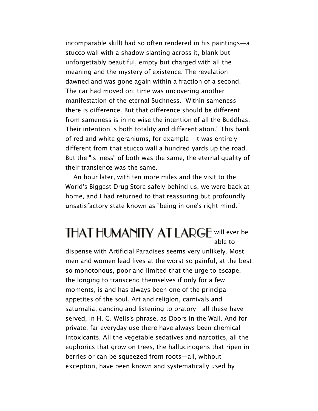incomparable skill) had so often rendered in his paintings—a stucco wall with a shadow slanting across it, blank but unforgettably beautiful, empty but charged with all the meaning and the mystery of existence. The revelation dawned and was gone again within a fraction of a second. The car had moved on; time was uncovering another manifestation of the eternal Suchness. "Within sameness there is difference. But that difference should be different from sameness is in no wise the intention of all the Buddhas. Their intention is both totality and differentiation." This bank of red and white geraniums, for example—it was entirely different from that stucco wall a hundred yards up the road. But the "is-ness" of both was the same, the eternal quality of their transience was the same.

 An hour later, with ten more miles and the visit to the World's Biggest Drug Store safely behind us, we were back at home, and I had returned to that reassuring but profoundly unsatisfactory state known as "being in one's right mind."

## THAT HUMANITY AT LARGE will ever be able to

dispense with Artificial Paradises seems very unlikely. Most men and women lead lives at the worst so painful, at the best so monotonous, poor and limited that the urge to escape, the longing to transcend themselves if only for a few moments, is and has always been one of the principal appetites of the soul. Art and religion, carnivals and saturnalia, dancing and listening to oratory—all these have served, in H. G. Wells's phrase, as Doors in the Wall. And for private, far everyday use there have always been chemical intoxicants. All the vegetable sedatives and narcotics, all the euphorics that grow on trees, the hallucinogens that ripen in berries or can be squeezed from roots—all, without exception, have been known and systematically used by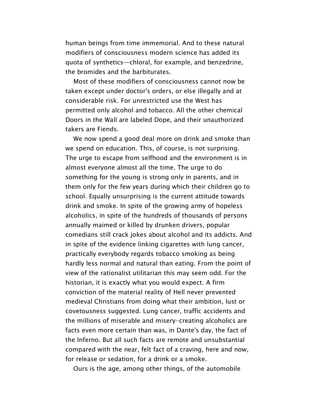human beings from time immemorial. And to these natural modifiers of consciousness modern science has added its quota of synthetics—chloral, for example, and benzedrine, the bromides and the barbiturates.

 Most of these modifiers of consciousness cannot now be taken except under doctor's orders, or else illegally and at considerable risk. For unrestricted use the West has permitted only alcohol and tobacco. All the other chemical Doors in the Wall are labeled Dope, and their unauthorized takers are Fiends.

 We now spend a good deal more on drink and smoke than we spend on education. This, of course, is not surprising. The urge to escape from selfhood and the environment is in almost everyone almost all the time. The urge to do something for the young is strong only in parents, and in them only for the few years during which their children go to school. Equally unsurprising is the current attitude towards drink and smoke. In spite of the growing army of hopeless alcoholics, in spite of the hundreds of thousands of persons annually maimed or killed by drunken drivers, popular comedians still crack jokes about alcohol and its addicts. And in spite of the evidence linking cigarettes with lung cancer, practically everybody regards tobacco smoking as being hardly less normal and natural than eating. From the point of view of the rationalist utilitarian this may seem odd. For the historian, it is exactly what you would expect. A firm conviction of the material reality of Hell never prevented medieval Christians from doing what their ambition, lust or covetousness suggested. Lung cancer, traffic accidents and the millions of miserable and misery-creating alcoholics are facts even more certain than was, in Dante's day, the fact of the Inferno. But all such facts are remote and unsubstantial compared with the near, felt fact of a craving, here and now, for release or sedation, for a drink or a smoke.

Ours is the age, among other things, of the automobile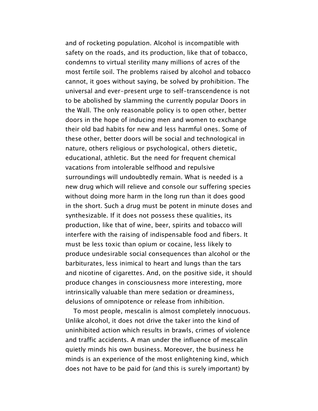and of rocketing population. Alcohol is incompatible with safety on the roads, and its production, like that of tobacco, condemns to virtual sterility many millions of acres of the most fertile soil. The problems raised by alcohol and tobacco cannot, it goes without saying, be solved by prohibition. The universal and ever-present urge to self-transcendence is not to be abolished by slamming the currently popular Doors in the Wall. The only reasonable policy is to open other, better doors in the hope of inducing men and women to exchange their old bad habits for new and less harmful ones. Some of these other, better doors will be social and technological in nature, others religious or psychological, others dietetic, educational, athletic. But the need for frequent chemical vacations from intolerable selfhood and repulsive surroundings will undoubtedly remain. What is needed is a new drug which will relieve and console our suffering species without doing more harm in the long run than it does good in the short. Such a drug must be potent in minute doses and synthesizable. If it does not possess these qualities, its production, like that of wine, beer, spirits and tobacco will interfere with the raising of indispensable food and fibers. It must be less toxic than opium or cocaine, less likely to produce undesirable social consequences than alcohol or the barbiturates, less inimical to heart and lungs than the tars and nicotine of cigarettes. And, on the positive side, it should produce changes in consciousness more interesting, more intrinsically valuable than mere sedation or dreaminess, delusions of omnipotence or release from inhibition.

 To most people, mescalin is almost completely innocuous. Unlike alcohol, it does not drive the taker into the kind of uninhibited action which results in brawls, crimes of violence and traffic accidents. A man under the influence of mescalin quietly minds his own business. Moreover, the business he minds is an experience of the most enlightening kind, which does not have to be paid for (and this is surely important) by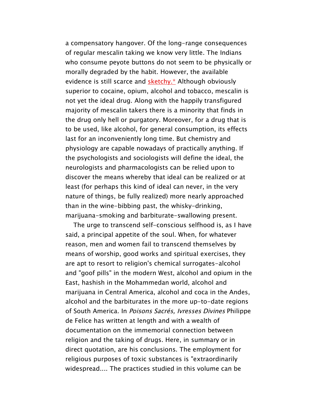<span id="page-41-0"></span>a compensatory hangover. Of the long-range consequences of regular mescalin taking we know very little. The Indians who consume peyote buttons do not seem to be physically or morally degraded by the habit. However, the available evidence is still scarce and [sketchy.\\*](#page-51-0) Although obviously superior to cocaine, opium, alcohol and tobacco, mescalin is not yet the ideal drug. Along with the happily transfigured majority of mescalin takers there is a minority that finds in the drug only hell or purgatory. Moreover, for a drug that is to be used, like alcohol, for general consumption, its effects last for an inconveniently long time. But chemistry and physiology are capable nowadays of practically anything. If the psychologists and sociologists will define the ideal, the neurologists and pharmacologists can be relied upon to discover the means whereby that ideal can be realized or at least (for perhaps this kind of ideal can never, in the very nature of things, be fully realized) more nearly approached than in the wine-bibbing past, the whisky-drinking, marijuana-smoking and barbiturate-swallowing present.

 The urge to transcend self-conscious selfhood is, as I have said, a principal appetite of the soul. When, for whatever reason, men and women fail to transcend themselves by means of worship, good works and spiritual exercises, they are apt to resort to religion's chemical surrogates-alcohol and "goof pills" in the modern West, alcohol and opium in the East, hashish in the Mohammedan world, alcohol and marijuana in Central America, alcohol and coca in the Andes, alcohol and the barbiturates in the more up-to-date regions of South America. In Poisons Sacrés, Ivresses Divines Philippe de Felice has written at length and with a wealth of documentation on the immemorial connection between religion and the taking of drugs. Here, in summary or in direct quotation, are his conclusions. The employment for religious purposes of toxic substances is "extraordinarily widespread.... The practices studied in this volume can be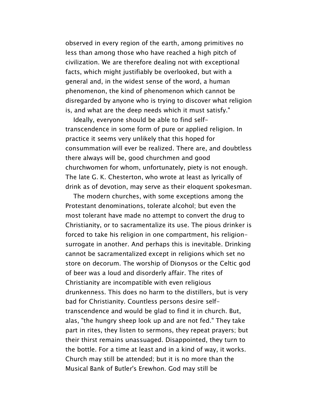observed in every region of the earth, among primitives no less than among those who have reached a high pitch of civilization. We are therefore dealing not with exceptional facts, which might justifiably be overlooked, but with a general and, in the widest sense of the word, a human phenomenon, the kind of phenomenon which cannot be disregarded by anyone who is trying to discover what religion is, and what are the deep needs which it must satisfy."

 Ideally, everyone should be able to find selftranscendence in some form of pure or applied religion. In practice it seems very unlikely that this hoped for consummation will ever be realized. There are, and doubtless there always will be, good churchmen and good churchwomen for whom, unfortunately, piety is not enough. The late G. K. Chesterton, who wrote at least as lyrically of drink as of devotion, may serve as their eloquent spokesman.

 The modern churches, with some exceptions among the Protestant denominations, tolerate alcohol; but even the most tolerant have made no attempt to convert the drug to Christianity, or to sacramentalize its use. The pious drinker is forced to take his religion in one compartment, his religionsurrogate in another. And perhaps this is inevitable. Drinking cannot be sacramentalized except in religions which set no store on decorum. The worship of Dionysos or the Celtic god of beer was a loud and disorderly affair. The rites of Christianity are incompatible with even religious drunkenness. This does no harm to the distillers, but is very bad for Christianity. Countless persons desire selftranscendence and would be glad to find it in church. But, alas, "the hungry sheep look up and are not fed." They take part in rites, they listen to sermons, they repeat prayers; but their thirst remains unassuaged. Disappointed, they turn to the bottle. For a time at least and in a kind of way, it works. Church may still be attended; but it is no more than the Musical Bank of Butler's Erewhon. God may still be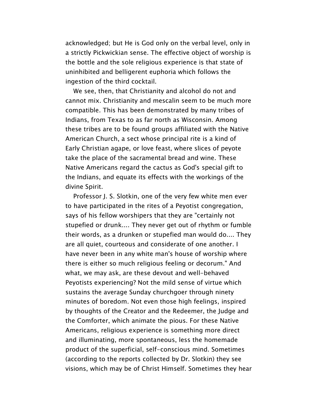acknowledged; but He is God only on the verbal level, only in a strictly Pickwickian sense. The effective object of worship is the bottle and the sole religious experience is that state of uninhibited and belligerent euphoria which follows the ingestion of the third cocktail.

 We see, then, that Christianity and alcohol do not and cannot mix. Christianity and mescalin seem to be much more compatible. This has been demonstrated by many tribes of Indians, from Texas to as far north as Wisconsin. Among these tribes are to be found groups affiliated with the Native American Church, a sect whose principal rite is a kind of Early Christian agape, or love feast, where slices of peyote take the place of the sacramental bread and wine. These Native Americans regard the cactus as God's special gift to the Indians, and equate its effects with the workings of the divine Spirit.

 Professor J. S. Slotkin, one of the very few white men ever to have participated in the rites of a Peyotist congregation, says of his fellow worshipers that they are "certainly not stupefied or drunk.... They never get out of rhythm or fumble their words, as a drunken or stupefied man would do.... They are all quiet, courteous and considerate of one another. I have never been in any white man's house of worship where there is either so much religious feeling or decorum." And what, we may ask, are these devout and well-behaved Peyotists experiencing? Not the mild sense of virtue which sustains the average Sunday churchgoer through ninety minutes of boredom. Not even those high feelings, inspired by thoughts of the Creator and the Redeemer, the Judge and the Comforter, which animate the pious. For these Native Americans, religious experience is something more direct and illuminating, more spontaneous, less the homemade product of the superficial, self-conscious mind. Sometimes (according to the reports collected by Dr. Slotkin) they see visions, which may be of Christ Himself. Sometimes they hear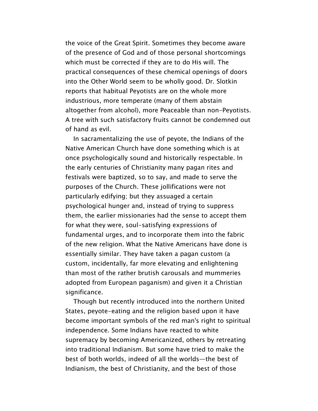the voice of the Great Spirit. Sometimes they become aware of the presence of God and of those personal shortcomings which must be corrected if they are to do His will. The practical consequences of these chemical openings of doors into the Other World seem to be wholly good. Dr. Slotkin reports that habitual Peyotists are on the whole more industrious, more temperate (many of them abstain altogether from alcohol), more Peaceable than non-Peyotists. A tree with such satisfactory fruits cannot be condemned out of hand as evil.

 In sacramentalizing the use of peyote, the Indians of the Native American Church have done something which is at once psychologically sound and historically respectable. In the early centuries of Christianity many pagan rites and festivals were baptized, so to say, and made to serve the purposes of the Church. These jollifications were not particularly edifying; but they assuaged a certain psychological hunger and, instead of trying to suppress them, the earlier missionaries had the sense to accept them for what they were, soul-satisfying expressions of fundamental urges, and to incorporate them into the fabric of the new religion. What the Native Americans have done is essentially similar. They have taken a pagan custom (a custom, incidentally, far more elevating and enlightening than most of the rather brutish carousals and mummeries adopted from European paganism) and given it a Christian significance.

 Though but recently introduced into the northern United States, peyote-eating and the religion based upon it have become important symbols of the red man's right to spiritual independence. Some Indians have reacted to white supremacy by becoming Americanized, others by retreating into traditional Indianism. But some have tried to make the best of both worlds, indeed of all the worlds—the best of Indianism, the best of Christianity, and the best of those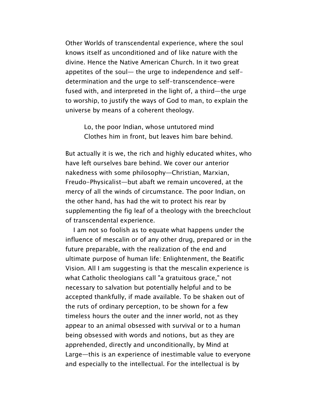Other Worlds of transcendental experience, where the soul knows itself as unconditioned and of like nature with the divine. Hence the Native American Church. In it two great appetites of the soul— the urge to independence and selfdetermination and the urge to self-transcendence-were fused with, and interpreted in the light of, a third—the urge to worship, to justify the ways of God to man, to explain the universe by means of a coherent theology.

Lo, the poor Indian, whose untutored mind Clothes him in front, but leaves him bare behind.

But actually it is we, the rich and highly educated whites, who have left ourselves bare behind. We cover our anterior nakedness with some philosophy—Christian, Marxian, Freudo-Physicalist—but abaft we remain uncovered, at the mercy of all the winds of circumstance. The poor Indian, on the other hand, has had the wit to protect his rear by supplementing the fig leaf of a theology with the breechclout of transcendental experience.

 I am not so foolish as to equate what happens under the influence of mescalin or of any other drug, prepared or in the future preparable, with the realization of the end and ultimate purpose of human life: Enlightenment, the Beatific Vision. All I am suggesting is that the mescalin experience is what Catholic theologians call "a gratuitous grace," not necessary to salvation but potentially helpful and to be accepted thankfully, if made available. To be shaken out of the ruts of ordinary perception, to be shown for a few timeless hours the outer and the inner world, not as they appear to an animal obsessed with survival or to a human being obsessed with words and notions, but as they are apprehended, directly and unconditionally, by Mind at Large—this is an experience of inestimable value to everyone and especially to the intellectual. For the intellectual is by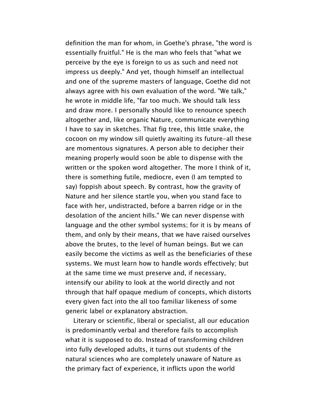definition the man for whom, in Goethe's phrase, "the word is essentially fruitful." He is the man who feels that "what we perceive by the eye is foreign to us as such and need not impress us deeply." And yet, though himself an intellectual and one of the supreme masters of language, Goethe did not always agree with his own evaluation of the word. "We talk," he wrote in middle life, "far too much. We should talk less and draw more. I personally should like to renounce speech altogether and, like organic Nature, communicate everything I have to say in sketches. That fig tree, this little snake, the cocoon on my window sill quietly awaiting its future-all these are momentous signatures. A person able to decipher their meaning properly would soon be able to dispense with the written or the spoken word altogether. The more I think of it, there is something futile, mediocre, even (I am tempted to say) foppish about speech. By contrast, how the gravity of Nature and her silence startle you, when you stand face to face with her, undistracted, before a barren ridge or in the desolation of the ancient hills." We can never dispense with language and the other symbol systems; for it is by means of them, and only by their means, that we have raised ourselves above the brutes, to the level of human beings. But we can easily become the victims as well as the beneficiaries of these systems. We must learn how to handle words effectively; but at the same time we must preserve and, if necessary, intensify our ability to look at the world directly and not through that half opaque medium of concepts, which distorts every given fact into the all too familiar likeness of some generic label or explanatory abstraction.

 Literary or scientific, liberal or specialist, all our education is predominantly verbal and therefore fails to accomplish what it is supposed to do. Instead of transforming children into fully developed adults, it turns out students of the natural sciences who are completely unaware of Nature as the primary fact of experience, it inflicts upon the world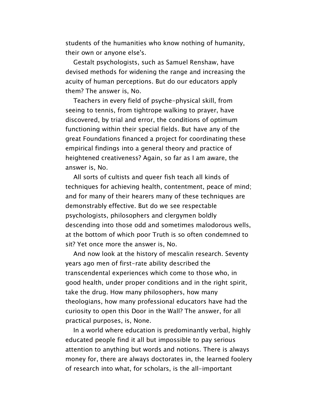students of the humanities who know nothing of humanity, their own or anyone else's.

 Gestalt psychologists, such as Samuel Renshaw, have devised methods for widening the range and increasing the acuity of human perceptions. But do our educators apply them? The answer is, No.

 Teachers in every field of psyche-physical skill, from seeing to tennis, from tightrope walking to prayer, have discovered, by trial and error, the conditions of optimum functioning within their special fields. But have any of the great Foundations financed a project for coordinating these empirical findings into a general theory and practice of heightened creativeness? Again, so far as I am aware, the answer is, No.

 All sorts of cultists and queer fish teach all kinds of techniques for achieving health, contentment, peace of mind; and for many of their hearers many of these techniques are demonstrably effective. But do we see respectable psychologists, philosophers and clergymen boldly descending into those odd and sometimes malodorous wells, at the bottom of which poor Truth is so often condemned to sit? Yet once more the answer is, No.

 And now look at the history of mescalin research. Seventy years ago men of first-rate ability described the transcendental experiences which come to those who, in good health, under proper conditions and in the right spirit, take the drug. How many philosophers, how many theologians, how many professional educators have had the curiosity to open this Door in the Wall? The answer, for all practical purposes, is, None.

 In a world where education is predominantly verbal, highly educated people find it all but impossible to pay serious attention to anything but words and notions. There is always money for, there are always doctorates in, the learned foolery of research into what, for scholars, is the all-important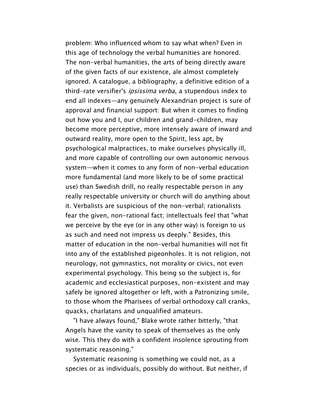problem: Who influenced whom to say what when? Even in this age of technology the verbal humanities are honored. The non-verbal humanities, the arts of being directly aware of the given facts of our existence, ale almost completely ignored. A catalogue, a bibliography, a definitive edition of a third-rate versifier's *ipsissima verba*, a stupendous index to end all indexes—any genuinely Alexandrian project is sure of approval and financial support: But when it comes to finding out how you and I, our children and grand-children, may become more perceptive, more intensely aware of inward and outward reality, more open to the Spirit, less apt, by psychological malpractices, to make ourselves physically ill, and more capable of controlling our own autonomic nervous system—when it comes to any form of non-verbal education more fundamental (and more likely to be of some practical use) than Swedish drill, no really respectable person in any really respectable university or church will do anything about it. Verbalists are suspicious of the non-verbal; rationalists fear the given, non-rational fact; intellectuals feel that "what we perceive by the eye (or in any other way) is foreign to us as such and need not impress us deeply." Besides, this matter of education in the non-verbal humanities will not fit into any of the established pigeonholes. It is not religion, not neurology, not gymnastics, not morality or civics, not even experimental psychology. This being so the subject is, for academic and ecclesiastical purposes, non-existent and may safely be ignored altogether or left, with a Patronizing smile, to those whom the Pharisees of verbal orthodoxy call cranks, quacks, charlatans and unqualified amateurs.

 "I have always found," Blake wrote rather bitterly, "that Angels have the vanity to speak of themselves as the only wise. This they do with a confident insolence sprouting from systematic reasoning."

 Systematic reasoning is something we could not, as a species or as individuals, possibly do without. But neither, if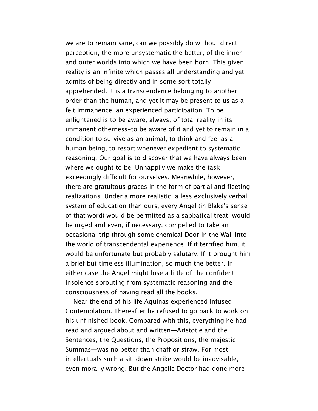we are to remain sane, can we possibly do without direct perception, the more unsystematic the better, of the inner and outer worlds into which we have been born. This given reality is an infinite which passes all understanding and yet admits of being directly and in some sort totally apprehended. It is a transcendence belonging to another order than the human, and yet it may be present to us as a felt immanence, an experienced participation. To be enlightened is to be aware, always, of total reality in its immanent otherness-to be aware of it and yet to remain in a condition to survive as an animal, to think and feel as a human being, to resort whenever expedient to systematic reasoning. Our goal is to discover that we have always been where we ought to be. Unhappily we make the task exceedingly difficult for ourselves. Meanwhile, however, there are gratuitous graces in the form of partial and fleeting realizations. Under a more realistic, a less exclusively verbal system of education than ours, every Angel (in Blake's sense of that word) would be permitted as a sabbatical treat, would be urged and even, if necessary, compelled to take an occasional trip through some chemical Door in the Wall into the world of transcendental experience. If it terrified him, it would be unfortunate but probably salutary. If it brought him a brief but timeless illumination, so much the better. In either case the Angel might lose a little of the confident insolence sprouting from systematic reasoning and the consciousness of having read all the books.

 Near the end of his life Aquinas experienced Infused Contemplation. Thereafter he refused to go back to work on his unfinished book. Compared with this, everything he had read and argued about and written—Aristotle and the Sentences, the Questions, the Propositions, the majestic Summas—was no better than chaff or straw, For most intellectuals such a sit-down strike would be inadvisable, even morally wrong. But the Angelic Doctor had done more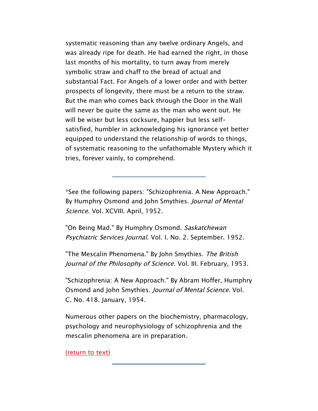systematic reasoning than any twelve ordinary Angels, and was already ripe for death. He had earned the right, in those last months of his mortality, to turn away from merely symbolic straw and chaff to the bread of actual and substantial Fact. For Angels of a lower order and with better prospects of longevity, there must be a return to the straw. But the man who comes back through the Door in the Wall will never be quite the same as the man who went out. He will be wiser but less cocksure, happier but less selfsatisfied, humbler in acknowledging his ignorance yet better equipped to understand the relationship of words to things, of systematic reasoning to the unfathomable Mystery which it tries, forever vainly, to comprehend.

<span id="page-50-0"></span>\*See the following papers: "Schizophrenia. A New Approach." By Humphry Osmond and John Smythies. Journal of Mental Science. Vol. XCVIII. April, 1952.

"On Being Mad." By Humphry Osmond. Saskatchewan Psychiatric Services Journal. Vol. I. No. 2. September. 1952.

"The Mescalin Phenomena." By John Smythies. The British Journal of the Philosophy of Science. Vol. III. February, 1953.

"Schizophrenia: A New Approach." By Abram Hoffer, Humphry Osmond and John Smythies. Journal of Mental Science. Vol. C. No. 418. January, 1954.

Numerous other papers on the biochemistry, pharmacology, psychology and neurophysiology of schizophrenia and the mescalin phenomena are in preparation.

[\(return to text\)](#page-2-0)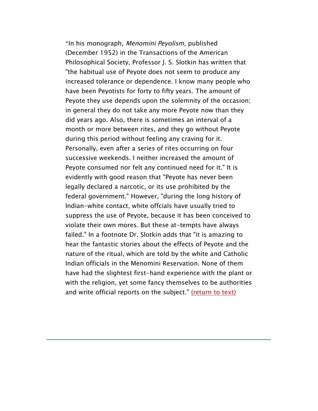<span id="page-51-0"></span>\*In his monograph, Menomini Peyolism, published (December 1952) in the Transactions of the American Philosophical Society, Professor J. S. Slotkin has written that "the habitual use of Peyote does not seem to produce any increased tolerance or dependence. I know many people who have been Peyotists for forty to fifty years. The amount of Peyote they use depends upon the solemnity of the occasion; in general they do not take any more Peyote now than they did years ago. Also, there is sometimes an interval of a month or more between rites, and they go without Peyote during this period without feeling any craving for it. Personally, even after a series of rites occurring on four successive weekends. I neither increased the amount of Peyote consumed nor felt any continued need for it." It is evidently with good reason that "Peyote has never been legally declared a narcotic, or its use prohibited by the federal government." However, "during the long history of Indian-white contact, white offcials have usually tried to suppress the use of Peyote, because it has been conceived to violate their own mores. But these at-tempts have always failed." In a footnote Dr. Slotkin adds that "it is amazing to hear the fantastic stories about the effects of Peyote and the nature of the ritual, which are told by the white and Catholic Indian officials in the Menomini Reservation. None of them have had the slightest first-hand experience with the plant or with the religion, yet some fancy themselves to be authorities and write official reports on the subject." [\(return to text\)](#page-41-0)